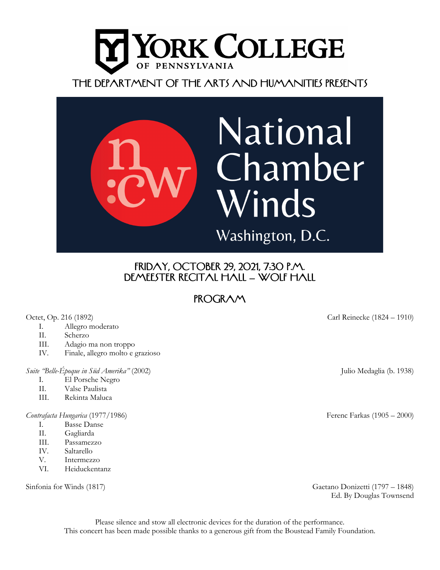



## Friday, October 29, 2021, 7:30 P.M. DEMEESTER RECITAL HALL – WOLF HALL

# **PROGRAM**

- I. Allegro moderato
- II. Scherzo
- III. Adagio ma non troppo
- IV. Finale, allegro molto e grazioso

## *Suite "Belle-Époque in Süd Amerika"* (2002) Julio Medaglia (b. 1938)

- I. El Porsche Negro
- II. Valse Paulista
- III. Rekinta Maluca

### *Contrafacta Hungarica* (1977/1986) Ferenc Farkas (1905 – 2000)

- I. Basse Danse
- II. Gagliarda
- III. Passamezzo
- IV. Saltarello
- V. Intermezzo
- VI. Heiduckentanz

Octet, Op. 216 (1892) Carl Reinecke (1824 – 1910)

Sinfonia for Winds (1817) Gaetano Donizetti (1797 – 1848) Ed. By Douglas Townsend

Please silence and stow all electronic devices for the duration of the performance. This concert has been made possible thanks to a generous gift from the Boustead Family Foundation.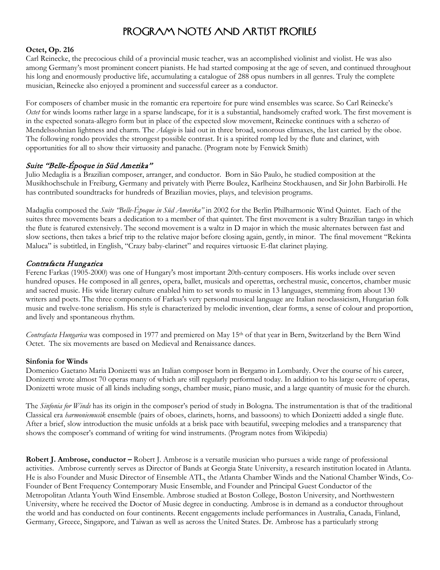## Program Notes and artist profiles

## **Octet, Op. 216**

Carl Reinecke, the precocious child of a provincial music teacher, was an accomplished violinist and violist. He was also among Germany's most prominent concert pianists. He had started composing at the age of seven, and continued throughout his long and enormously productive life, accumulating a catalogue of 288 opus numbers in all genres. Truly the complete musician, Reinecke also enjoyed a prominent and successful career as a conductor.

For composers of chamber music in the romantic era repertoire for pure wind ensembles was scarce. So Carl Reinecke's *Octet* for winds looms rather large in a sparse landscape, for it is a substantial, handsomely crafted work. The first movement is in the expected sonata-allegro form but in place of the expected slow movement, Reinecke continues with a scherzo of Mendelssohnian lightness and charm. The *Adagio* is laid out in three broad, sonorous climaxes, the last carried by the oboe. The following rondo provides the strongest possible contrast. It is a spirited romp led by the flute and clarinet, with opportunities for all to show their virtuosity and panache. (Program note by Fenwick Smith)

## Suite "Belle-Époque in Süd Amerika"

Julio Medaglia is a Brazilian composer, arranger, and conductor. Born in Sāo Paulo, he studied composition at the Musikhochschule in Freiburg, Germany and privately with Pierre Boulez, Karlheinz Stockhausen, and Sir John Barbirolli. He has contributed soundtracks for hundreds of Brazilian movies, plays, and television programs.

Madaglia composed the *Suite "Belle-Époque in Süd Amerika"* in 2002 for the Berlin Philharmonic Wind Quintet. Each of the suites three movements bears a dedication to a member of that quintet. The first movement is a sultry Brazilian tango in which the flute is featured extensively. The second movement is a waltz in D major in which the music alternates between fast and slow sections, then takes a brief trip to the relative major before closing again, gently, in minor. The final movement "Rekinta Maluca" is subtitled, in English, "Crazy baby-clarinet" and requires virtuosic E-flat clarinet playing.

## Contrafacta Hungarica

Ferenc Farkas (1905-2000) was one of Hungary's most important 20th-century composers. His works include over seven hundred opuses. He composed in all genres, opera, ballet, musicals and operettas, orchestral music, concertos, chamber music and sacred music. His wide literary culture enabled him to set words to music in 13 languages, stemming from about 130 writers and poets. The three components of Farkas's very personal musical language are Italian neoclassicism, Hungarian folk music and twelve-tone serialism. His style is characterized by melodic invention, clear forms, a sense of colour and proportion, and lively and spontaneous rhythm.

*Contrafacta Hungarica* was composed in 1977 and premiered on May 15<sup>th</sup> of that year in Bern, Switzerland by the Bern Wind Octet. The six movements are based on Medieval and Renaissance dances.

### **Sinfonia for Winds**

Domenico Gaetano Maria Donizetti was an Italian composer born in Bergamo in Lombardy. Over the course of his career, Donizetti wrote almost 70 operas many of which are still regularly performed today. In addition to his large oeuvre of operas, Donizetti wrote music of all kinds including songs, chamber music, piano music, and a large quantity of music for the church.

The *Sinfonia for Winds* has its origin in the composer's period of study in Bologna. The instrumentation is that of the traditional Classical era *harmoniemusik* ensemble (pairs of oboes, clarinets, horns, and bassoons) to which Donizetti added a single flute. After a brief, slow introduction the music unfolds at a brisk pace with beautiful, sweeping melodies and a transparency that shows the composer's command of writing for wind instruments. (Program notes from Wikipedia)

**Robert J. Ambrose, conductor –** Robert J. Ambrose is a versatile musician who pursues a wide range of professional activities. Ambrose currently serves as Director of Bands at Georgia State University, a research institution located in Atlanta. He is also Founder and Music Director of Ensemble ATL, the Atlanta Chamber Winds and the National Chamber Winds, Co-Founder of Bent Frequency Contemporary Music Ensemble, and Founder and Principal Guest Conductor of the Metropolitan Atlanta Youth Wind Ensemble. Ambrose studied at Boston College, Boston University, and Northwestern University, where he received the Doctor of Music degree in conducting. Ambrose is in demand as a conductor throughout the world and has conducted on four continents. Recent engagements include performances in Australia, Canada, Finland, Germany, Greece, Singapore, and Taiwan as well as across the United States. Dr. Ambrose has a particularly strong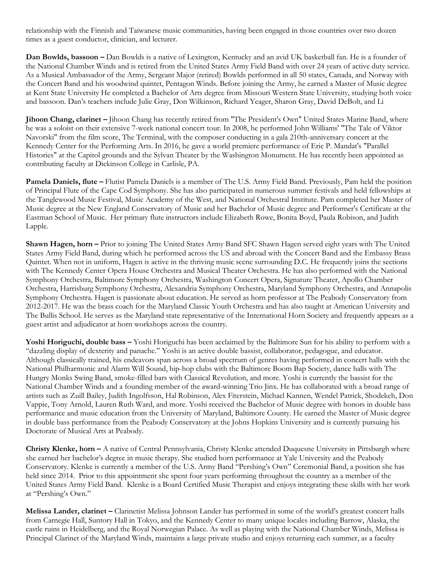relationship with the Finnish and Taiwanese music communities, having been engaged in those countries over two dozen times as a guest conductor, clinician, and lecturer.

**Dan Bowlds, bassoon –** Dan Bowlds is a native of Lexington, Kentucky and an avid UK basketball fan. He is a founder of the National Chamber Winds and is retired from the United States Army Field Band with over 24 years of active duty service. As a Musical Ambassador of the Army, Sergeant Major (retired) Bowlds performed in all 50 states, Canada, and Norway with the Concert Band and his woodwind quintet, Pentagon Winds. Before joining the Army, he earned a Master of Music degree at Kent State University He completed a Bachelor of Arts degree from Missouri Western State University, studying both voice and bassoon. Dan's teachers include Julie Gray, Don Wilkinson, Richard Yeager, Sharon Gray, David DeBolt, and Li

**Jihoon Chang, clarinet –** Jihoon Chang has recently retired from "The President's Own" United States Marine Band, where he was a soloist on their extensive 7-week national concert tour. In 2008, he performed John Williams' "The Tale of Viktor Navorski" from the film score, The Terminal, with the composer conducting in a gala 210th-anniversary concert at the Kennedy Center for the Performing Arts. In 2016, he gave a world premiere performance of Eric P. Mandat's "Parallel Histories" at the Capitol grounds and the Sylvan Theater by the Washington Monument. He has recently been appointed as contributing faculty at Dickinson College in Carlisle, PA.

**Pamela Daniels, flute –** Flutist Pamela Daniels is a member of The U.S. Army Field Band. Previously, Pam held the position of Principal Flute of the Cape Cod Symphony. She has also participated in numerous summer festivals and held fellowships at the Tanglewood Music Festival, Music Academy of the West, and National Orchestral Institute. Pam completed her Master of Music degree at the New England Conservatory of Music and her Bachelor of Music degree and Performer's Certificate at the Eastman School of Music. Her primary flute instructors include Elizabeth Rowe, Bonita Boyd, Paula Robison, and Judith Lapple.

**Shawn Hagen, horn –** Prior to joining The United States Army Band SFC Shawn Hagen served eight years with The United States Army Field Band, during which he performed across the US and abroad with the Concert Band and the Embassy Brass Quintet. When not in uniform, Hagen is active in the thriving music scene surrounding D.C. He frequently joins the sections with The Kennedy Center Opera House Orchestra and Musical Theater Orchestra. He has also performed with the National Symphony Orchestra, Baltimore Symphony Orchestra, Washington Concert Opera, Signature Theater, Apollo Chamber Orchestra, Harrisburg Symphony Orchestra, Alexandria Symphony Orchestra, Maryland Symphony Orchestra, and Annapolis Symphony Orchestra. Hagen is passionate about education. He served as horn professor at The Peabody Conservatory from 2012-2017. He was the brass coach for the Maryland Classic Youth Orchestra and has also taught at American University and The Bullis School. He serves as the Maryland state representative of the International Horn Society and frequently appears as a guest artist and adjudicator at horn workshops across the country.

**Yoshi Horiguchi, double bass –** Yoshi Horiguchi has been acclaimed by the Baltimore Sun for his ability to perform with a "dazzling display of dexterity and panache." Yoshi is an active double bassist, collaborator, pedagogue, and educator. Although classically trained, his endeavors span across a broad spectrum of genres having performed in concert halls with the National Philharmonic and Alarm Will Sound, hip-hop clubs with the Baltimore Boom Bap Society, dance halls with The Hungry Monks Swing Band, smoke-filled bars with Classical Revolution, and more. Yoshi is currently the bassist for the National Chamber Winds and a founding member of the award-winning Trio Jinx. He has collaborated with a broad range of artists such as Zuill Bailey, Judith Ingolfsson, Hal Robinson, Alex Fiterstein, Michael Kannen, Wendel Patrick, Shodekeh, Don Vappie, Tony Arnold, Lauren Ruth Ward, and more. Yoshi received the Bachelor of Music degree with honors in double bass performance and music education from the University of Maryland, Baltimore County. He earned the Master of Music degree in double bass performance from the Peabody Conservatory at the Johns Hopkins University and is currently pursuing his Doctorate of Musical Arts at Peabody.

**Christy Klenke, horn –** A native of Central Pennsylvania, Christy Klenke attended Duquesne University in Pittsburgh where she earned her bachelor's degree in music therapy. She studied horn performance at Yale University and the Peabody Conservatory. Klenke is currently a member of the U.S. Army Band "Pershing's Own" Ceremonial Band, a position she has held since 2014. Prior to this appointment she spent four years performing throughout the country as a member of the United States Army Field Band. Klenke is a Board Certified Music Therapist and enjoys integrating these skills with her work at "Pershing's Own."

**Melissa Lander, clarinet –** Clarinetist Melissa Johnson Lander has performed in some of the world's greatest concert halls from Carnegie Hall, Suntory Hall in Tokyo, and the Kennedy Center to many unique locales including Barrow, Alaska, the castle ruins in Heidelberg, and the Royal Norwegian Palace. As well as playing with the National Chamber Winds, Melissa is Principal Clarinet of the Maryland Winds, maintains a large private studio and enjoys returning each summer, as a faculty